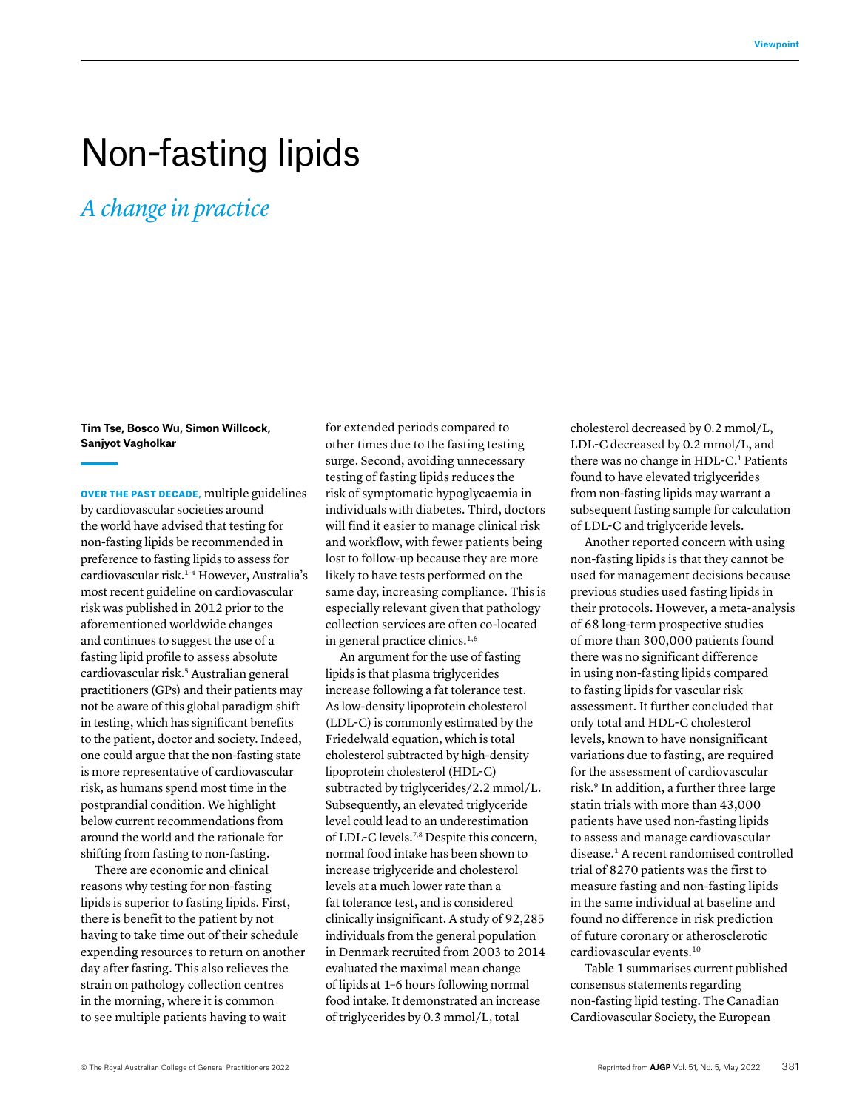## Non-fasting lipids

*A change in practice*

**Tim Tse, Bosco Wu, Simon Willcock, Sanjyot Vagholkar**

OVER THE PAST DECADE, multiple guidelines by cardiovascular societies around the world have advised that testing for non-fasting lipids be recommended in preference to fasting lipids to assess for cardiovascular risk.<sup>1-4</sup> However, Australia's most recent guideline on cardiovascular risk was published in 2012 prior to the aforementioned worldwide changes and continues to suggest the use of a fasting lipid profile to assess absolute cardiovascular risk.<sup>5</sup> Australian general practitioners (GPs) and their patients may not be aware of this global paradigm shift in testing, which has significant benefits to the patient, doctor and society. Indeed, one could argue that the non-fasting state is more representative of cardiovascular risk, as humans spend most time in the postprandial condition. We highlight below current recommendations from around the world and the rationale for shifting from fasting to non-fasting.

There are economic and clinical reasons why testing for non-fasting lipids is superior to fasting lipids. First, there is benefit to the patient by not having to take time out of their schedule expending resources to return on another day after fasting. This also relieves the strain on pathology collection centres in the morning, where it is common to see multiple patients having to wait

for extended periods compared to other times due to the fasting testing surge. Second, avoiding unnecessary testing of fasting lipids reduces the risk of symptomatic hypoglycaemia in individuals with diabetes. Third, doctors will find it easier to manage clinical risk and workflow, with fewer patients being lost to follow-up because they are more likely to have tests performed on the same day, increasing compliance. This is especially relevant given that pathology collection services are often co-located in general practice clinics.<sup>1,6</sup>

An argument for the use of fasting lipids is that plasma triglycerides increase following a fat tolerance test. As low-density lipoprotein cholesterol (LDL-C) is commonly estimated by the Friedelwald equation, which is total cholesterol subtracted by high-density lipoprotein cholesterol (HDL-C) subtracted by triglycerides/2.2 mmol/L. Subsequently, an elevated triglyceride level could lead to an underestimation of LDL-C levels.7,8 Despite this concern, normal food intake has been shown to increase triglyceride and cholesterol levels at a much lower rate than a fat tolerance test, and is considered clinically insignificant. A study of 92,285 individuals from the general population in Denmark recruited from 2003 to 2014 evaluated the maximal mean change of lipids at 1–6 hours following normal food intake. It demonstrated an increase of triglycerides by 0.3 mmol/L, total

cholesterol decreased by 0.2 mmol/L, LDL-C decreased by 0.2 mmol/L, and there was no change in HDL-C.<sup>1</sup> Patients found to have elevated triglycerides from non-fasting lipids may warrant a subsequent fasting sample for calculation of LDL-C and triglyceride levels.

Another reported concern with using non-fasting lipids is that they cannot be used for management decisions because previous studies used fasting lipids in their protocols. However, a meta-analysis of 68 long-term prospective studies of more than 300,000 patients found there was no significant difference in using non-fasting lipids compared to fasting lipids for vascular risk assessment. It further concluded that only total and HDL-C cholesterol levels, known to have nonsignificant variations due to fasting, are required for the assessment of cardiovascular risk.9 In addition, a further three large statin trials with more than 43,000 patients have used non-fasting lipids to assess and manage cardiovascular disease.1 A recent randomised controlled trial of 8270 patients was the first to measure fasting and non-fasting lipids in the same individual at baseline and found no difference in risk prediction of future coronary or atherosclerotic cardiovascular events.10

Table 1 summarises current published consensus statements regarding non-fasting lipid testing. The Canadian Cardiovascular Society, the European